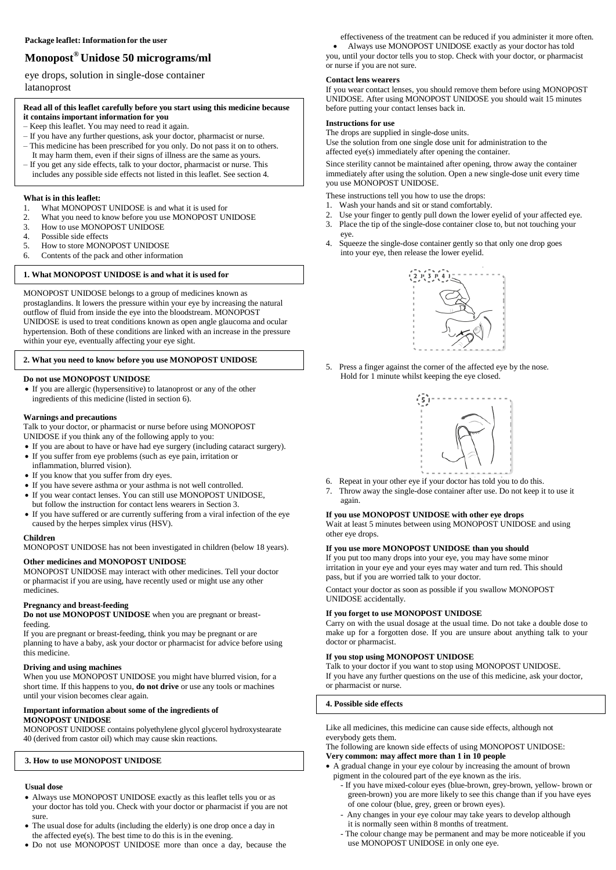# **Monopost® Unidose 50 micrograms/ml**

eye drops, solution in single-dose container latanoprost

# **Read all of this leaflet carefully before you start using this medicine because it contains important information for you**

- Keep this leaflet. You may need to read it again.
- If you have any further questions, ask your doctor, pharmacist or nurse.
- This medicine has been prescribed for you only. Do not pass it on to others. It may harm them, even if their signs of illness are the same as yours.
- If you get any side effects, talk to your doctor, pharmacist or nurse. This
- includes any possible side effects not listed in this leaflet. See section 4.

# **What is in this leaflet:**<br>1. What MONOPOS

- What MONOPOST UNIDOSE is and what it is used for
- 2. What you need to know before you use MONOPOST UNIDOSE
- 3. How to use MONOPOST UNIDOSE
- 4. Possible side effects
- 5. How to store MONOPOST UNIDOSE<br>6. Contents of the pack and other informat
- 6. Contents of the pack and other information

# **1. What MONOPOST UNIDOSE is and what it is used for**

MONOPOST UNIDOSE belongs to a group of medicines known as prostaglandins. It lowers the pressure within your eye by increasing the natural outflow of fluid from inside the eye into the bloodstream. MONOPOST UNIDOSE is used to treat conditions known as open angle glaucoma and ocular hypertension. Both of these conditions are linked with an increase in the pressure within your eye, eventually affecting your eye sight.

# **2. What you need to know before you use MONOPOST UNIDOSE**

#### **Do not use MONOPOST UNIDOSE**

 If you are allergic (hypersensitive) to latanoprost or any of the other ingredients of this medicine (listed in section 6).

#### **Warnings and precautions**

Talk to your doctor, or pharmacist or nurse before using MONOPOST UNIDOSE if you think any of the following apply to you:

- If you are about to have or have had eye surgery (including cataract surgery). If you suffer from eye problems (such as eye pain, irritation or
- inflammation, blurred vision).
- If you know that you suffer from dry eyes.
- If you have severe asthma or your asthma is not well controlled.
- If you wear contact lenses. You can still use MONOPOST UNIDOSE,
- but follow the instruction for contact lens wearers in Section 3.
- If you have suffered or are currently suffering from a viral infection of the eye caused by the herpes simplex virus (HSV).

#### **Children**

MONOPOST UNIDOSE has not been investigated in children (below 18 years).

# **Other medicines and MONOPOST UNIDOSE**

MONOPOST UNIDOSE may interact with other medicines. Tell your doctor or pharmacist if you are using, have recently used or might use any other medicines.

# **Pregnancy and breast-feeding**

**Do not use MONOPOST UNIDOSE** when you are pregnant or breastfeeding.

If you are pregnant or breast-feeding, think you may be pregnant or are planning to have a baby, ask your doctor or pharmacist for advice before using this medicine.

#### **Driving and using machines**

When you use MONOPOST UNIDOSE you might have blurred vision, for a short time. If this happens to you, **do not drive** or use any tools or machines until your vision becomes clear again.

#### **Important information about some of the ingredients of MONOPOST UNIDOSE**

MONOPOST UNIDOSE contains polyethylene glycol glycerol hydroxystearate 40 (derived from castor oil) which may cause skin reactions.

# **3. How to use MONOPOST UNIDOSE**

# **Usual dose**

- Always use MONOPOST UNIDOSE exactly as this leaflet tells you or as your doctor has told you. Check with your doctor or pharmacist if you are not sure.
- The usual dose for adults (including the elderly) is one drop once a day in the affected eye(s). The best time to do this is in the evening.
- Do not use MONOPOST UNIDOSE more than once a day, because the

effectiveness of the treatment can be reduced if you administer it more often.

 Always use MONOPOST UNIDOSE exactly as your doctor has told you, until your doctor tells you to stop. Check with your doctor, or pharmacist or nurse if you are not sure.

#### **Contact lens wearers**

If you wear contact lenses, you should remove them before using MONOPOST UNIDOSE. After using MONOPOST UNIDOSE you should wait 15 minutes before putting your contact lenses back in.

# **Instructions for use**

The drops are supplied in single-dose units.

Use the solution from one single dose unit for administration to the affected eye(s) immediately after opening the container.

Since sterility cannot be maintained after opening, throw away the container immediately after using the solution. Open a new single-dose unit every time you use MONOPOST UNIDOSE.

These instructions tell you how to use the drops:

- 1. Wash your hands and sit or stand comfortably.
- 2. Use your finger to gently pull down the lower eyelid of your affected eye.<br>3. Place the tip of the single-dose container close to but not touching your
- Place the tip of the single-dose container close to, but not touching your eye.
- 4. Squeeze the single-dose container gently so that only one drop goes into your eye, then release the lower eyelid.



5. Press a finger against the corner of the affected eye by the nose. Hold for 1 minute whilst keeping the eye closed.



- 6. Repeat in your other eye if your doctor has told you to do this.
- 7. Throw away the single-dose container after use. Do not keep it to use it again.

#### **If you use MONOPOST UNIDOSE with other eye drops**

Wait at least 5 minutes between using MONOPOST UNIDOSE and using other eye drops.

# **If you use more MONOPOST UNIDOSE than you should**

If you put too many drops into your eye, you may have some minor irritation in your eye and your eyes may water and turn red. This should pass, but if you are worried talk to your doctor.

Contact your doctor as soon as possible if you swallow MONOPOST UNIDOSE accidentally.

# **If you forget to use MONOPOST UNIDOSE**

Carry on with the usual dosage at the usual time. Do not take a double dose to make up for a forgotten dose. If you are unsure about anything talk to your doctor or pharmacist.

#### **If you stop using MONOPOST UNIDOSE**

Talk to your doctor if you want to stop using MONOPOST UNIDOSE. If you have any further questions on the use of this medicine, ask your doctor, or pharmacist or nurse.

**4. Possible side effects**

Like all medicines, this medicine can cause side effects, although not everybody gets them.

The following are known side effects of using MONOPOST UNIDOSE: **Very common: may affect more than 1 in 10 people**

- A gradual change in your eye colour by increasing the amount of brown
	- pigment in the coloured part of the eye known as the iris. - If you have mixed-colour eyes (blue-brown, grey-brown, yellow- brown or green-brown) you are more likely to see this change than if you have eyes of one colour (blue, grey, green or brown eyes).
		- Any changes in your eye colour may take years to develop although it is normally seen within 8 months of treatment.
		- The colour change may be permanent and may be more noticeable if you use MONOPOST UNIDOSE in only one eye.